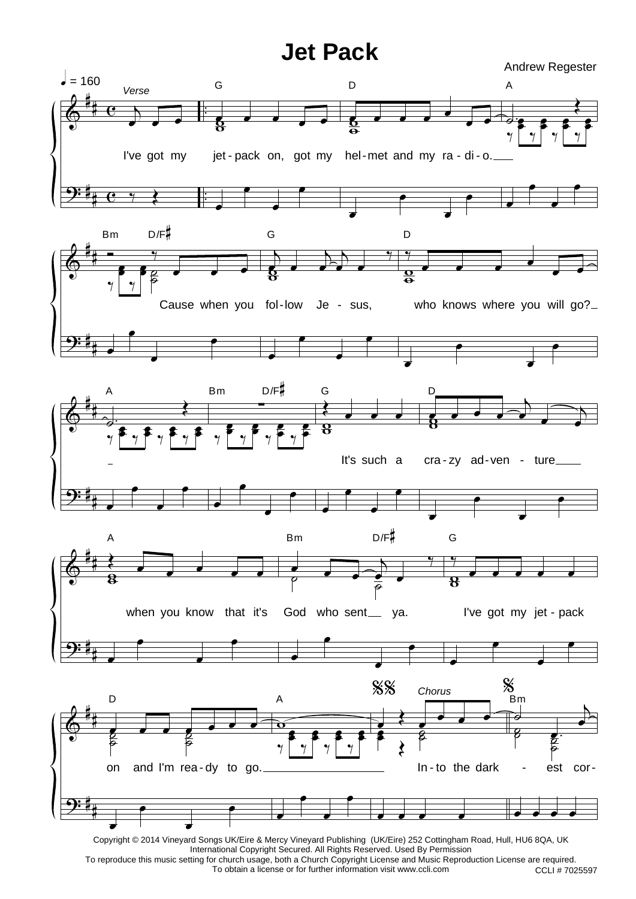## **Jet Pack**

Andrew Regester



Copyright © 2014 Vineyard Songs UK/Eire & Mercy Vineyard Publishing (UK/Eire) 252 Cottingham Road, Hull, HU6 8QA, UK International Copyright Secured. All Rights Reserved. Used By Permission To reproduce this music setting for church usage, both a Church Copyright License and Music Reproduction License are required.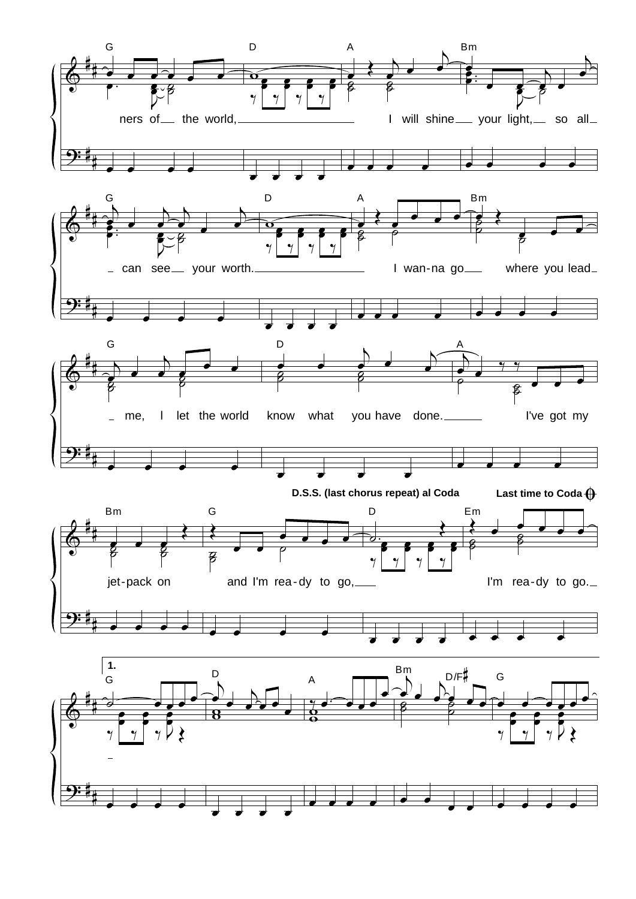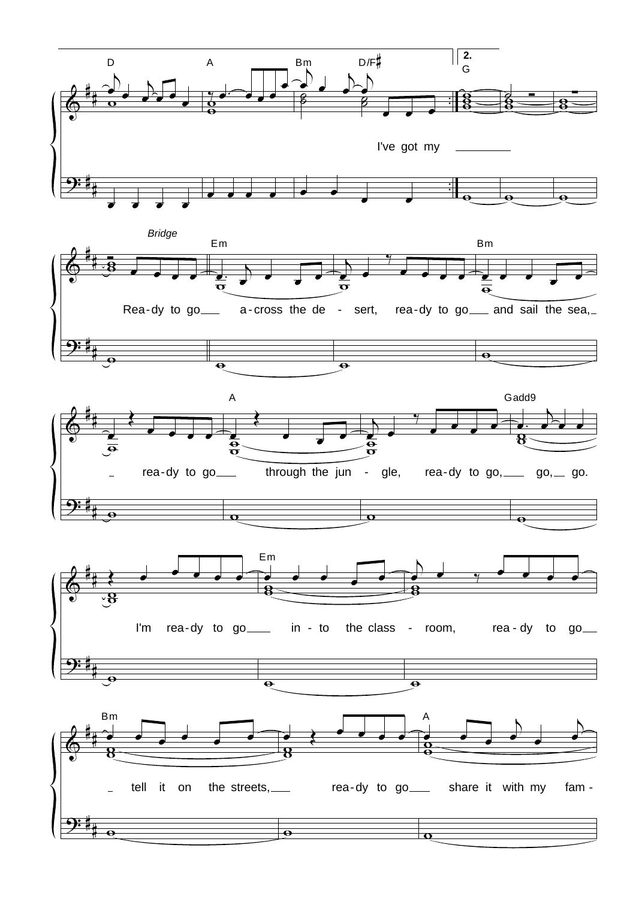